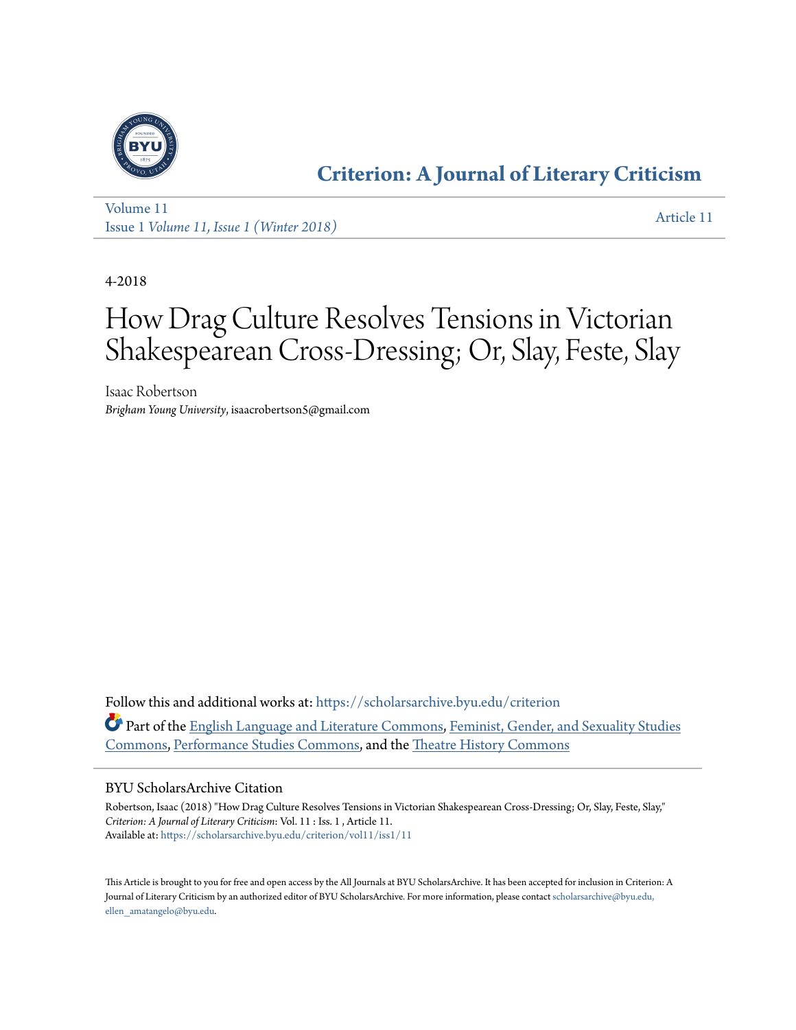

### **[Criterion: A Journal of Literary Criticism](https://scholarsarchive.byu.edu/criterion?utm_source=scholarsarchive.byu.edu%2Fcriterion%2Fvol11%2Fiss1%2F11&utm_medium=PDF&utm_campaign=PDFCoverPages)**

[Volume 11](https://scholarsarchive.byu.edu/criterion/vol11?utm_source=scholarsarchive.byu.edu%2Fcriterion%2Fvol11%2Fiss1%2F11&utm_medium=PDF&utm_campaign=PDFCoverPages) Issue 1 *[Volume 11, Issue 1 \(Winter 2018\)](https://scholarsarchive.byu.edu/criterion/vol11/iss1?utm_source=scholarsarchive.byu.edu%2Fcriterion%2Fvol11%2Fiss1%2F11&utm_medium=PDF&utm_campaign=PDFCoverPages)* [Article 11](https://scholarsarchive.byu.edu/criterion/vol11/iss1/11?utm_source=scholarsarchive.byu.edu%2Fcriterion%2Fvol11%2Fiss1%2F11&utm_medium=PDF&utm_campaign=PDFCoverPages)

4-2018

### How Drag Culture Resolves Tensions in Victorian Shakespearean Cross-Dressing; Or, Slay, Feste, Slay

Isaac Robertson *Brigham Young University*, isaacrobertson5@gmail.com

Follow this and additional works at: [https://scholarsarchive.byu.edu/criterion](https://scholarsarchive.byu.edu/criterion?utm_source=scholarsarchive.byu.edu%2Fcriterion%2Fvol11%2Fiss1%2F11&utm_medium=PDF&utm_campaign=PDFCoverPages) Part of the [English Language and Literature Commons](http://network.bepress.com/hgg/discipline/455?utm_source=scholarsarchive.byu.edu%2Fcriterion%2Fvol11%2Fiss1%2F11&utm_medium=PDF&utm_campaign=PDFCoverPages), [Feminist, Gender, and Sexuality Studies](http://network.bepress.com/hgg/discipline/559?utm_source=scholarsarchive.byu.edu%2Fcriterion%2Fvol11%2Fiss1%2F11&utm_medium=PDF&utm_campaign=PDFCoverPages) [Commons,](http://network.bepress.com/hgg/discipline/559?utm_source=scholarsarchive.byu.edu%2Fcriterion%2Fvol11%2Fiss1%2F11&utm_medium=PDF&utm_campaign=PDFCoverPages) [Performance Studies Commons,](http://network.bepress.com/hgg/discipline/556?utm_source=scholarsarchive.byu.edu%2Fcriterion%2Fvol11%2Fiss1%2F11&utm_medium=PDF&utm_campaign=PDFCoverPages) and the [Theatre History Commons](http://network.bepress.com/hgg/discipline/553?utm_source=scholarsarchive.byu.edu%2Fcriterion%2Fvol11%2Fiss1%2F11&utm_medium=PDF&utm_campaign=PDFCoverPages)

#### BYU ScholarsArchive Citation

Robertson, Isaac (2018) "How Drag Culture Resolves Tensions in Victorian Shakespearean Cross-Dressing; Or, Slay, Feste, Slay," *Criterion: A Journal of Literary Criticism*: Vol. 11 : Iss. 1 , Article 11. Available at: [https://scholarsarchive.byu.edu/criterion/vol11/iss1/11](https://scholarsarchive.byu.edu/criterion/vol11/iss1/11?utm_source=scholarsarchive.byu.edu%2Fcriterion%2Fvol11%2Fiss1%2F11&utm_medium=PDF&utm_campaign=PDFCoverPages)

This Article is brought to you for free and open access by the All Journals at BYU ScholarsArchive. It has been accepted for inclusion in Criterion: A Journal of Literary Criticism by an authorized editor of BYU ScholarsArchive. For more information, please contact [scholarsarchive@byu.edu,](mailto:scholarsarchive@byu.edu,%20ellen_amatangelo@byu.edu) [ellen\\_amatangelo@byu.edu.](mailto:scholarsarchive@byu.edu,%20ellen_amatangelo@byu.edu)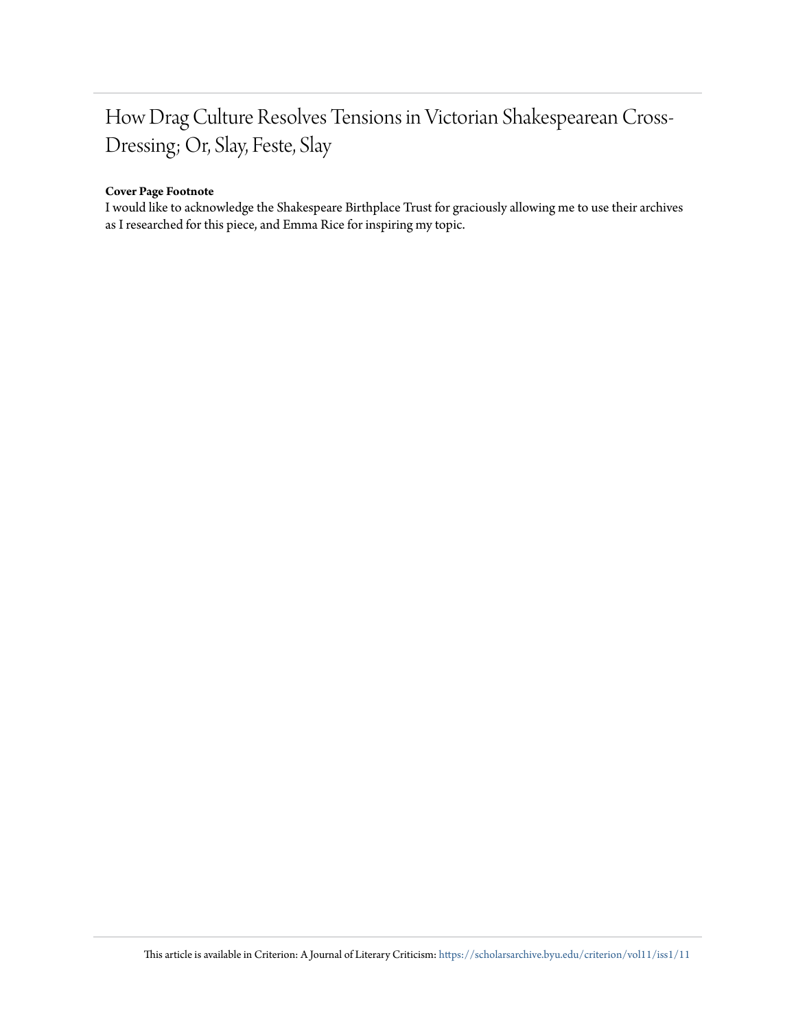### How Drag Culture Resolves Tensions in Victorian Shakespearean Cross-Dressing; Or, Slay, Feste, Slay

#### **Cover Page Footnote**

I would like to acknowledge the Shakespeare Birthplace Trust for graciously allowing me to use their archives as I researched for this piece, and Emma Rice for inspiring my topic.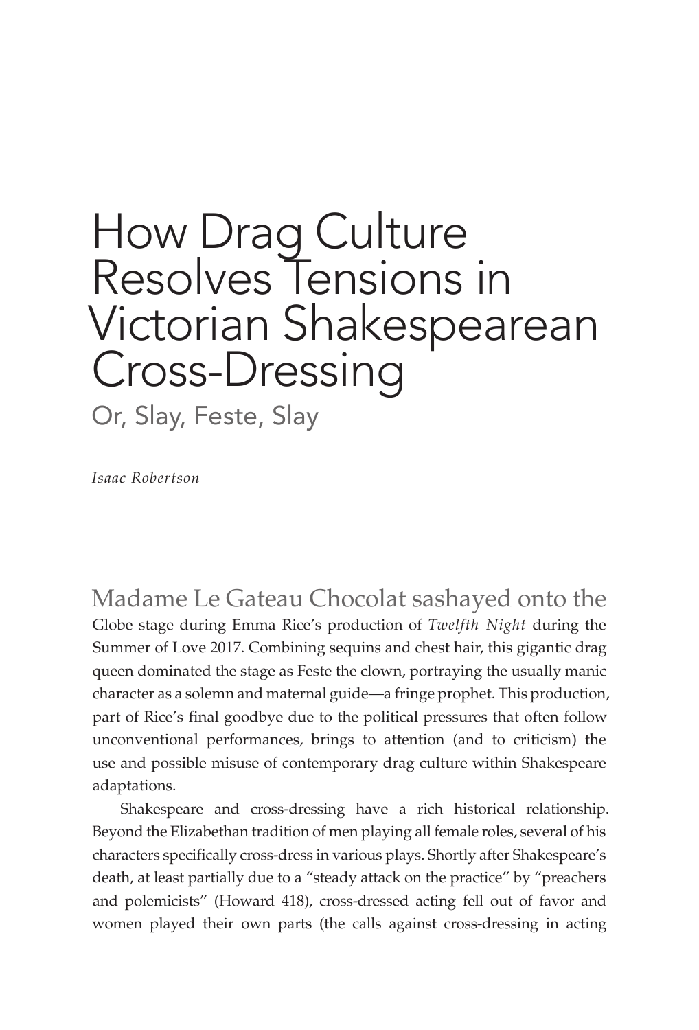# How Drag Culture Resolves Tensions in Victorian Shakespearean Cross-Dressing

Or, Slay, Feste, Slay

*Isaac Robertson*

Madame Le Gateau Chocolat sashayed onto the Globe stage during Emma Rice's production of *Twelfth Night* during the Summer of Love 2017. Combining sequins and chest hair, this gigantic drag queen dominated the stage as Feste the clown, portraying the usually manic character as a solemn and maternal guide—a fringe prophet. This production, part of Rice's final goodbye due to the political pressures that often follow unconventional performances, brings to attention (and to criticism) the use and possible misuse of contemporary drag culture within Shakespeare adaptations.

Shakespeare and cross-dressing have a rich historical relationship. Beyond the Elizabethan tradition of men playing all female roles, several of his characters specifically cross-dress in various plays. Shortly after Shakespeare's death, at least partially due to a "steady attack on the practice" by "preachers and polemicists" (Howard 418), cross-dressed acting fell out of favor and women played their own parts (the calls against cross-dressing in acting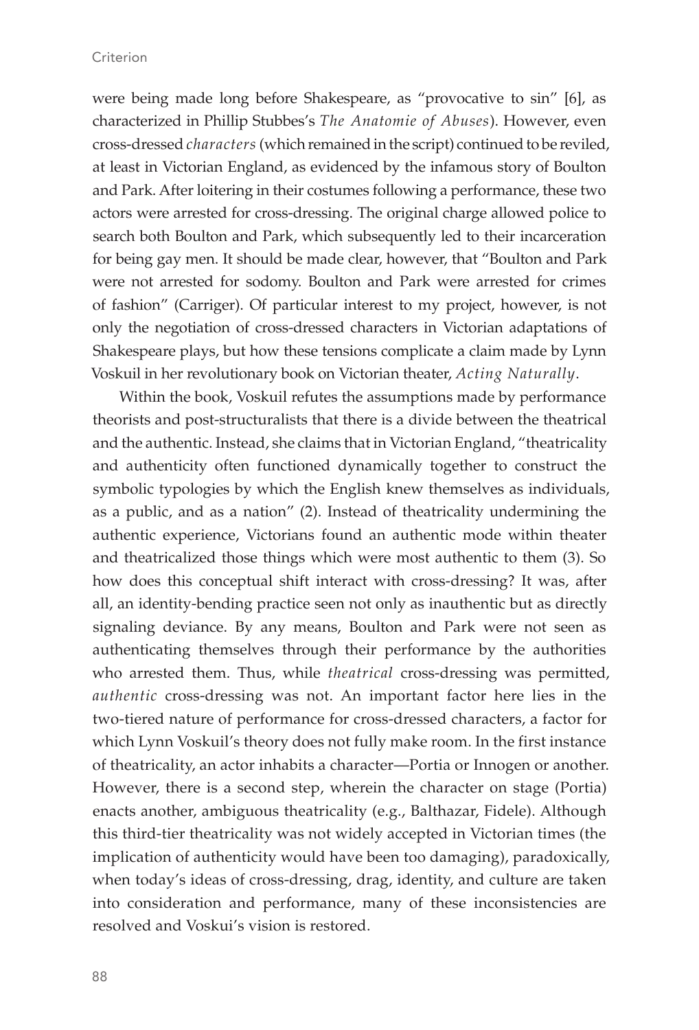#### **Criterion**

were being made long before Shakespeare, as "provocative to sin" [6], as characterized in Phillip Stubbes's *The Anatomie of Abuses*). However, even cross-dressed *characters* (which remained in the script) continued to be reviled, at least in Victorian England, as evidenced by the infamous story of Boulton and Park. After loitering in their costumes following a performance, these two actors were arrested for cross-dressing. The original charge allowed police to search both Boulton and Park, which subsequently led to their incarceration for being gay men. It should be made clear, however, that "Boulton and Park were not arrested for sodomy. Boulton and Park were arrested for crimes of fashion" (Carriger). Of particular interest to my project, however, is not only the negotiation of cross-dressed characters in Victorian adaptations of Shakespeare plays, but how these tensions complicate a claim made by Lynn Voskuil in her revolutionary book on Victorian theater, *Acting Naturally*.

Within the book, Voskuil refutes the assumptions made by performance theorists and post-structuralists that there is a divide between the theatrical and the authentic. Instead, she claims that in Victorian England, "theatricality and authenticity often functioned dynamically together to construct the symbolic typologies by which the English knew themselves as individuals, as a public, and as a nation" (2). Instead of theatricality undermining the authentic experience, Victorians found an authentic mode within theater and theatricalized those things which were most authentic to them (3). So how does this conceptual shift interact with cross-dressing? It was, after all, an identity-bending practice seen not only as inauthentic but as directly signaling deviance. By any means, Boulton and Park were not seen as authenticating themselves through their performance by the authorities who arrested them. Thus, while *theatrical* cross-dressing was permitted, *authentic* cross-dressing was not. An important factor here lies in the two-tiered nature of performance for cross-dressed characters, a factor for which Lynn Voskuil's theory does not fully make room. In the first instance of theatricality, an actor inhabits a character—Portia or Innogen or another. However, there is a second step, wherein the character on stage (Portia) enacts another, ambiguous theatricality (e.g., Balthazar, Fidele). Although this third-tier theatricality was not widely accepted in Victorian times (the implication of authenticity would have been too damaging), paradoxically, when today's ideas of cross-dressing, drag, identity, and culture are taken into consideration and performance, many of these inconsistencies are resolved and Voskui's vision is restored.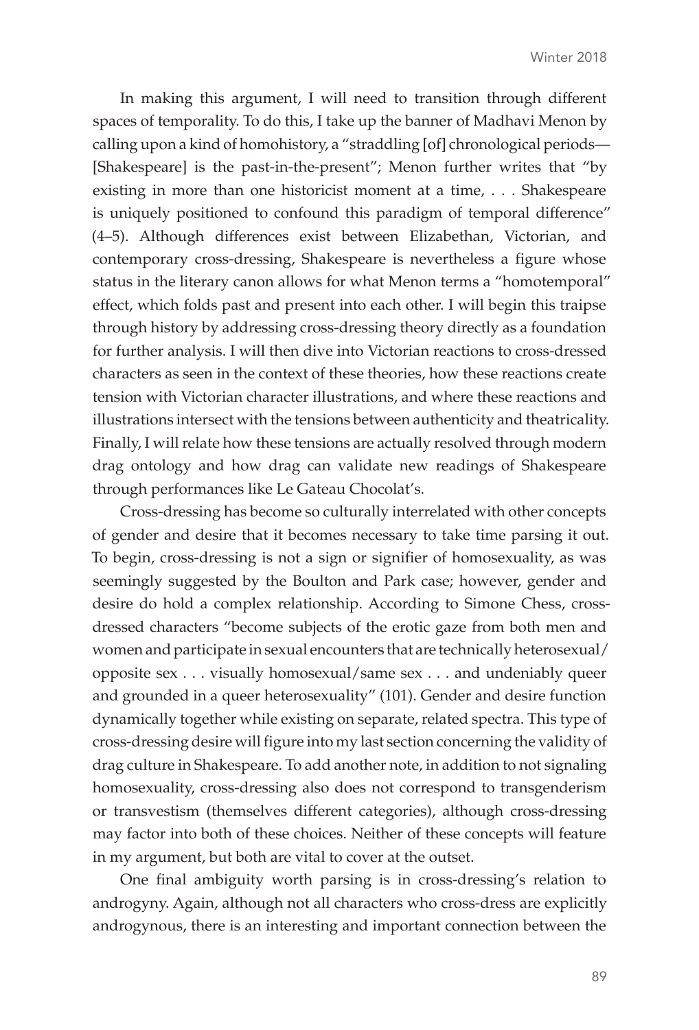In making this argument, I will need to transition through different spaces of temporality. To do this, I take up the banner of Madhavi Menon by calling upon a kind of homohistory, a "straddling [of] chronological periods— [Shakespeare] is the past-in-the-present"; Menon further writes that "by existing in more than one historicist moment at a time, . . . Shakespeare is uniquely positioned to confound this paradigm of temporal difference" (4–5). Although differences exist between Elizabethan, Victorian, and contemporary cross-dressing, Shakespeare is nevertheless a figure whose status in the literary canon allows for what Menon terms a "homotemporal" effect, which folds past and present into each other. I will begin this traipse through history by addressing cross-dressing theory directly as a foundation for further analysis. I will then dive into Victorian reactions to cross-dressed characters as seen in the context of these theories, how these reactions create tension with Victorian character illustrations, and where these reactions and illustrations intersect with the tensions between authenticity and theatricality. Finally, I will relate how these tensions are actually resolved through modern drag ontology and how drag can validate new readings of Shakespeare through performances like Le Gateau Chocolat's.

Cross-dressing has become so culturally interrelated with other concepts of gender and desire that it becomes necessary to take time parsing it out. To begin, cross-dressing is not a sign or signifier of homosexuality, as was seemingly suggested by the Boulton and Park case; however, gender and desire do hold a complex relationship. According to Simone Chess, crossdressed characters "become subjects of the erotic gaze from both men and women and participate in sexual encounters that are technically heterosexual/ opposite sex . . . visually homosexual/same sex . . . and undeniably queer and grounded in a queer heterosexuality" (101). Gender and desire function dynamically together while existing on separate, related spectra. This type of cross-dressing desire will figure into my last section concerning the validity of drag culture in Shakespeare. To add another note, in addition to not signaling homosexuality, cross-dressing also does not correspond to transgenderism or transvestism (themselves different categories), although cross-dressing may factor into both of these choices. Neither of these concepts will feature in my argument, but both are vital to cover at the outset.

One final ambiguity worth parsing is in cross-dressing's relation to androgyny. Again, although not all characters who cross-dress are explicitly androgynous, there is an interesting and important connection between the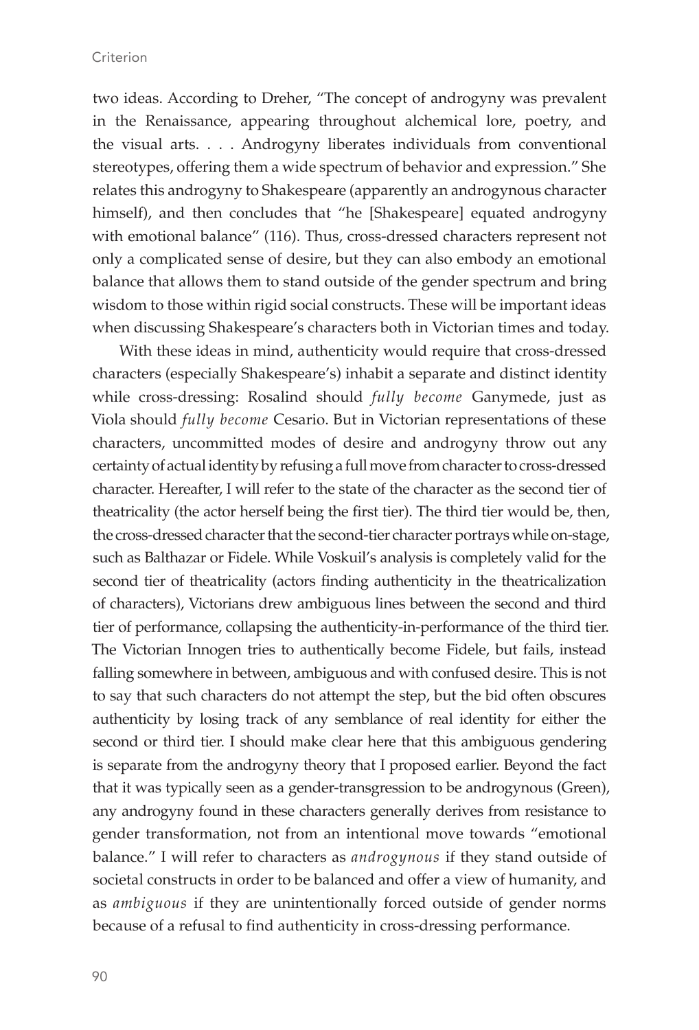two ideas. According to Dreher, "The concept of androgyny was prevalent in the Renaissance, appearing throughout alchemical lore, poetry, and the visual arts. . . . Androgyny liberates individuals from conventional stereotypes, offering them a wide spectrum of behavior and expression." She relates this androgyny to Shakespeare (apparently an androgynous character himself), and then concludes that "he [Shakespeare] equated androgyny with emotional balance" (116). Thus, cross-dressed characters represent not only a complicated sense of desire, but they can also embody an emotional balance that allows them to stand outside of the gender spectrum and bring wisdom to those within rigid social constructs. These will be important ideas when discussing Shakespeare's characters both in Victorian times and today.

With these ideas in mind, authenticity would require that cross-dressed characters (especially Shakespeare's) inhabit a separate and distinct identity while cross-dressing: Rosalind should *fully become* Ganymede, just as Viola should *fully become* Cesario. But in Victorian representations of these characters, uncommitted modes of desire and androgyny throw out any certainty of actual identity by refusing a full move from character to cross-dressed character. Hereafter, I will refer to the state of the character as the second tier of theatricality (the actor herself being the first tier). The third tier would be, then, the cross-dressed character that the second-tier character portrays while on-stage, such as Balthazar or Fidele. While Voskuil's analysis is completely valid for the second tier of theatricality (actors finding authenticity in the theatricalization of characters), Victorians drew ambiguous lines between the second and third tier of performance, collapsing the authenticity-in-performance of the third tier. The Victorian Innogen tries to authentically become Fidele, but fails, instead falling somewhere in between, ambiguous and with confused desire. This is not to say that such characters do not attempt the step, but the bid often obscures authenticity by losing track of any semblance of real identity for either the second or third tier. I should make clear here that this ambiguous gendering is separate from the androgyny theory that I proposed earlier. Beyond the fact that it was typically seen as a gender-transgression to be androgynous (Green), any androgyny found in these characters generally derives from resistance to gender transformation, not from an intentional move towards "emotional balance." I will refer to characters as *androgynous* if they stand outside of societal constructs in order to be balanced and offer a view of humanity, and as *ambiguous* if they are unintentionally forced outside of gender norms because of a refusal to find authenticity in cross-dressing performance.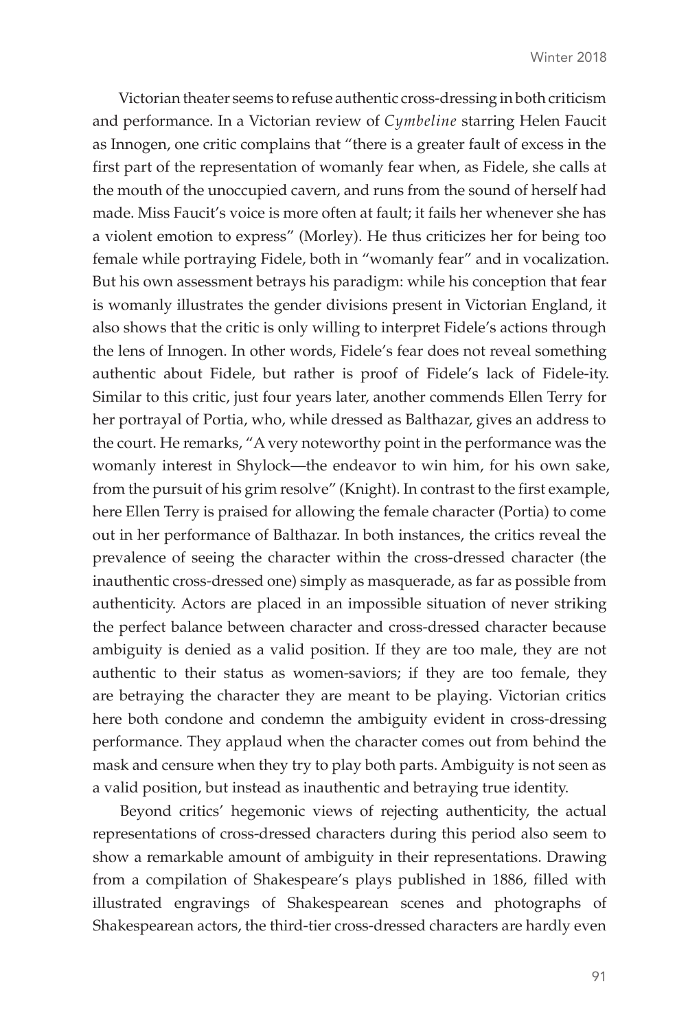Victorian theater seems to refuse authentic cross-dressing in both criticism and performance. In a Victorian review of *Cymbeline* starring Helen Faucit as Innogen, one critic complains that "there is a greater fault of excess in the first part of the representation of womanly fear when, as Fidele, she calls at the mouth of the unoccupied cavern, and runs from the sound of herself had made. Miss Faucit's voice is more often at fault; it fails her whenever she has a violent emotion to express" (Morley). He thus criticizes her for being too female while portraying Fidele, both in "womanly fear" and in vocalization. But his own assessment betrays his paradigm: while his conception that fear is womanly illustrates the gender divisions present in Victorian England, it also shows that the critic is only willing to interpret Fidele's actions through the lens of Innogen. In other words, Fidele's fear does not reveal something authentic about Fidele, but rather is proof of Fidele's lack of Fidele-ity. Similar to this critic, just four years later, another commends Ellen Terry for her portrayal of Portia, who, while dressed as Balthazar, gives an address to the court. He remarks, "A very noteworthy point in the performance was the womanly interest in Shylock—the endeavor to win him, for his own sake, from the pursuit of his grim resolve" (Knight). In contrast to the first example, here Ellen Terry is praised for allowing the female character (Portia) to come out in her performance of Balthazar. In both instances, the critics reveal the prevalence of seeing the character within the cross-dressed character (the inauthentic cross-dressed one) simply as masquerade, as far as possible from authenticity. Actors are placed in an impossible situation of never striking the perfect balance between character and cross-dressed character because ambiguity is denied as a valid position. If they are too male, they are not authentic to their status as women-saviors; if they are too female, they are betraying the character they are meant to be playing. Victorian critics here both condone and condemn the ambiguity evident in cross-dressing performance. They applaud when the character comes out from behind the mask and censure when they try to play both parts. Ambiguity is not seen as a valid position, but instead as inauthentic and betraying true identity.

Beyond critics' hegemonic views of rejecting authenticity, the actual representations of cross-dressed characters during this period also seem to show a remarkable amount of ambiguity in their representations. Drawing from a compilation of Shakespeare's plays published in 1886, filled with illustrated engravings of Shakespearean scenes and photographs of Shakespearean actors, the third-tier cross-dressed characters are hardly even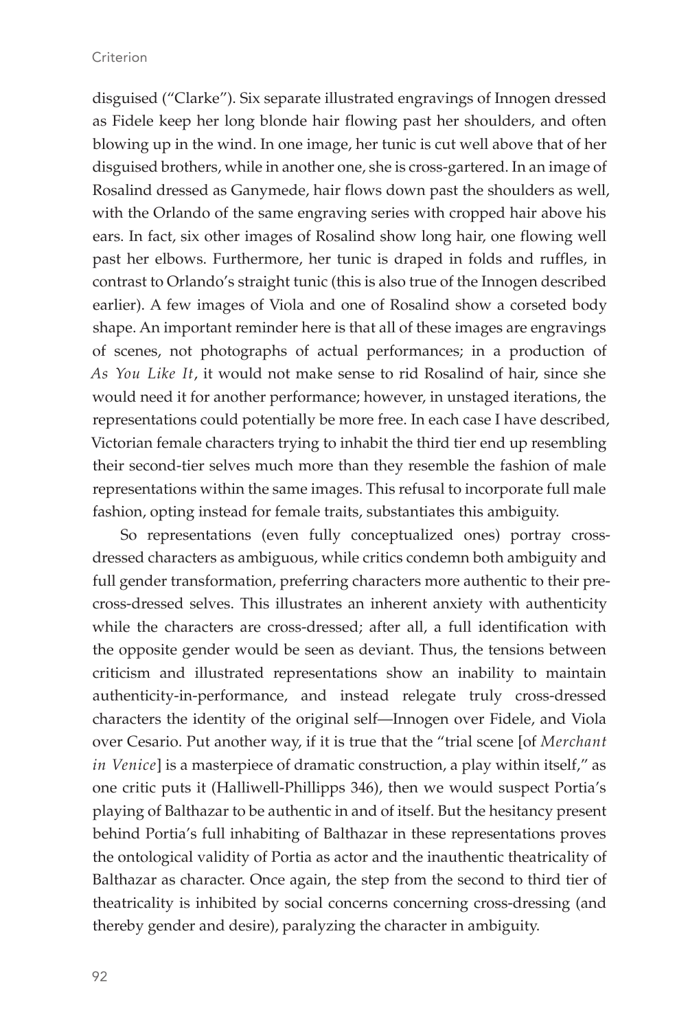disguised ("Clarke"). Six separate illustrated engravings of Innogen dressed as Fidele keep her long blonde hair flowing past her shoulders, and often blowing up in the wind. In one image, her tunic is cut well above that of her disguised brothers, while in another one, she is cross-gartered. In an image of Rosalind dressed as Ganymede, hair flows down past the shoulders as well, with the Orlando of the same engraving series with cropped hair above his ears. In fact, six other images of Rosalind show long hair, one flowing well past her elbows. Furthermore, her tunic is draped in folds and ruffles, in contrast to Orlando's straight tunic (this is also true of the Innogen described earlier). A few images of Viola and one of Rosalind show a corseted body shape. An important reminder here is that all of these images are engravings of scenes, not photographs of actual performances; in a production of *As You Like It*, it would not make sense to rid Rosalind of hair, since she would need it for another performance; however, in unstaged iterations, the representations could potentially be more free. In each case I have described, Victorian female characters trying to inhabit the third tier end up resembling their second-tier selves much more than they resemble the fashion of male representations within the same images. This refusal to incorporate full male fashion, opting instead for female traits, substantiates this ambiguity.

So representations (even fully conceptualized ones) portray crossdressed characters as ambiguous, while critics condemn both ambiguity and full gender transformation, preferring characters more authentic to their precross-dressed selves. This illustrates an inherent anxiety with authenticity while the characters are cross-dressed; after all, a full identification with the opposite gender would be seen as deviant. Thus, the tensions between criticism and illustrated representations show an inability to maintain authenticity-in-performance, and instead relegate truly cross-dressed characters the identity of the original self—Innogen over Fidele, and Viola over Cesario. Put another way, if it is true that the "trial scene [of *Merchant in Venice*] is a masterpiece of dramatic construction, a play within itself," as one critic puts it (Halliwell-Phillipps 346), then we would suspect Portia's playing of Balthazar to be authentic in and of itself. But the hesitancy present behind Portia's full inhabiting of Balthazar in these representations proves the ontological validity of Portia as actor and the inauthentic theatricality of Balthazar as character. Once again, the step from the second to third tier of theatricality is inhibited by social concerns concerning cross-dressing (and thereby gender and desire), paralyzing the character in ambiguity.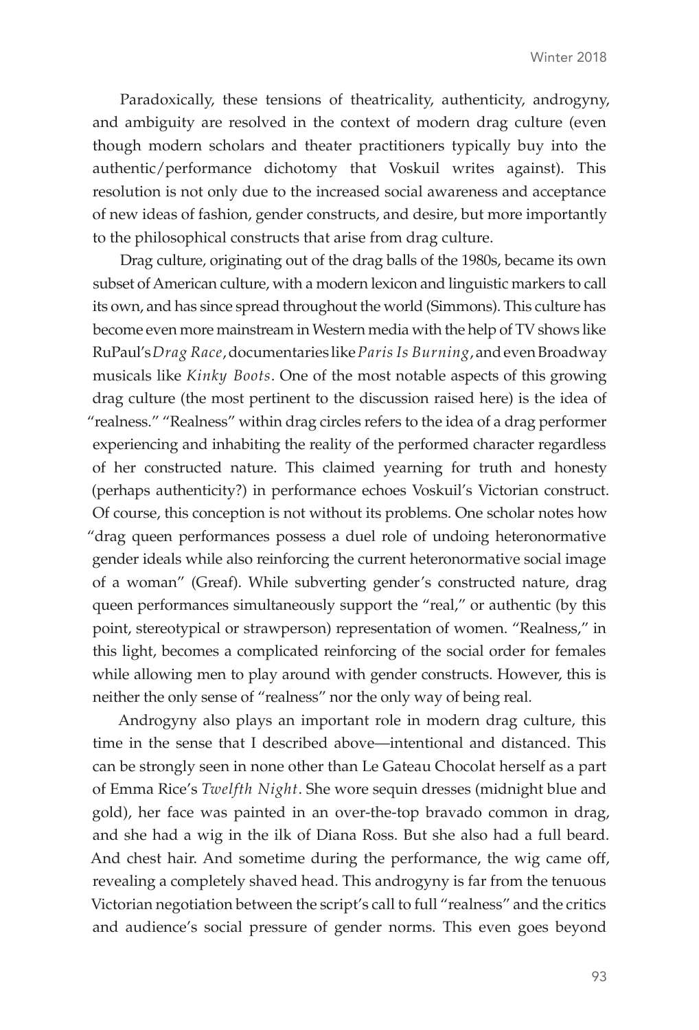Paradoxically, these tensions of theatricality, authenticity, androgyny, and ambiguity are resolved in the context of modern drag culture (even though modern scholars and theater practitioners typically buy into the authentic/performance dichotomy that Voskuil writes against). This resolution is not only due to the increased social awareness and acceptance of new ideas of fashion, gender constructs, and desire, but more importantly to the philosophical constructs that arise from drag culture.

Drag culture, originating out of the drag balls of the 1980s, became its own subset of American culture, with a modern lexicon and linguistic markers to call its own, and has since spread throughout the world (Simmons). This culture has become even more mainstream in Western media with the help of TV shows like RuPaul's *Drag Race*, documentaries like *Paris Is Burning*, and even Broadway musicals like *Kinky Boots*. One of the most notable aspects of this growing drag culture (the most pertinent to the discussion raised here) is the idea of "realness." "Realness" within drag circles refers to the idea of a drag performer experiencing and inhabiting the reality of the performed character regardless of her constructed nature. This claimed yearning for truth and honesty (perhaps authenticity?) in performance echoes Voskuil's Victorian construct. Of course, this conception is not without its problems. One scholar notes how "drag queen performances possess a duel role of undoing heteronormative gender ideals while also reinforcing the current heteronormative social image of a woman" (Greaf). While subverting gender's constructed nature, drag queen performances simultaneously support the "real," or authentic (by this point, stereotypical or strawperson) representation of women. "Realness," in this light, becomes a complicated reinforcing of the social order for females while allowing men to play around with gender constructs. However, this is neither the only sense of "realness" nor the only way of being real.

Androgyny also plays an important role in modern drag culture, this time in the sense that I described above—intentional and distanced. This can be strongly seen in none other than Le Gateau Chocolat herself as a part of Emma Rice's *Twelfth Night*. She wore sequin dresses (midnight blue and gold), her face was painted in an over-the-top bravado common in drag, and she had a wig in the ilk of Diana Ross. But she also had a full beard. And chest hair. And sometime during the performance, the wig came off, revealing a completely shaved head. This androgyny is far from the tenuous Victorian negotiation between the script's call to full "realness" and the critics and audience's social pressure of gender norms. This even goes beyond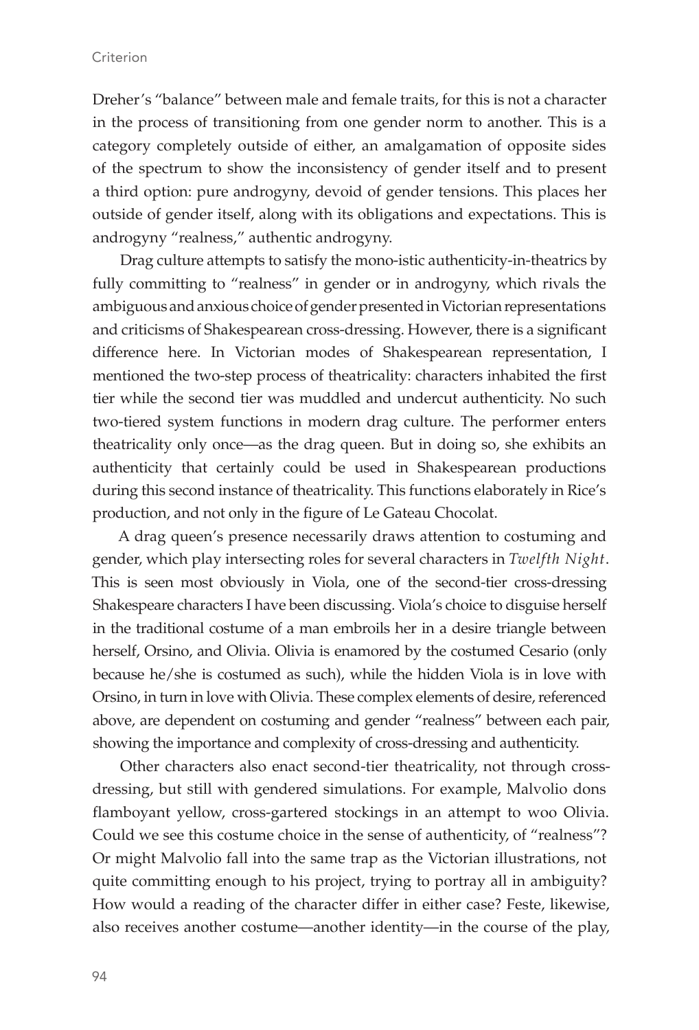Dreher's "balance" between male and female traits, for this is not a character in the process of transitioning from one gender norm to another. This is a category completely outside of either, an amalgamation of opposite sides of the spectrum to show the inconsistency of gender itself and to present a third option: pure androgyny, devoid of gender tensions. This places her outside of gender itself, along with its obligations and expectations. This is androgyny "realness," authentic androgyny.

Drag culture attempts to satisfy the mono-istic authenticity-in-theatrics by fully committing to "realness" in gender or in androgyny, which rivals the ambiguous and anxious choice of gender presented in Victorian representations and criticisms of Shakespearean cross-dressing. However, there is a significant difference here. In Victorian modes of Shakespearean representation, I mentioned the two-step process of theatricality: characters inhabited the first tier while the second tier was muddled and undercut authenticity. No such two-tiered system functions in modern drag culture. The performer enters theatricality only once—as the drag queen. But in doing so, she exhibits an authenticity that certainly could be used in Shakespearean productions during this second instance of theatricality. This functions elaborately in Rice's production, and not only in the figure of Le Gateau Chocolat.

A drag queen's presence necessarily draws attention to costuming and gender, which play intersecting roles for several characters in *Twelfth Night*. This is seen most obviously in Viola, one of the second-tier cross-dressing Shakespeare characters I have been discussing. Viola's choice to disguise herself in the traditional costume of a man embroils her in a desire triangle between herself, Orsino, and Olivia. Olivia is enamored by the costumed Cesario (only because he/she is costumed as such), while the hidden Viola is in love with Orsino, in turn in love with Olivia. These complex elements of desire, referenced above, are dependent on costuming and gender "realness" between each pair, showing the importance and complexity of cross-dressing and authenticity.

Other characters also enact second-tier theatricality, not through crossdressing, but still with gendered simulations. For example, Malvolio dons flamboyant yellow, cross-gartered stockings in an attempt to woo Olivia. Could we see this costume choice in the sense of authenticity, of "realness"? Or might Malvolio fall into the same trap as the Victorian illustrations, not quite committing enough to his project, trying to portray all in ambiguity? How would a reading of the character differ in either case? Feste, likewise, also receives another costume—another identity—in the course of the play,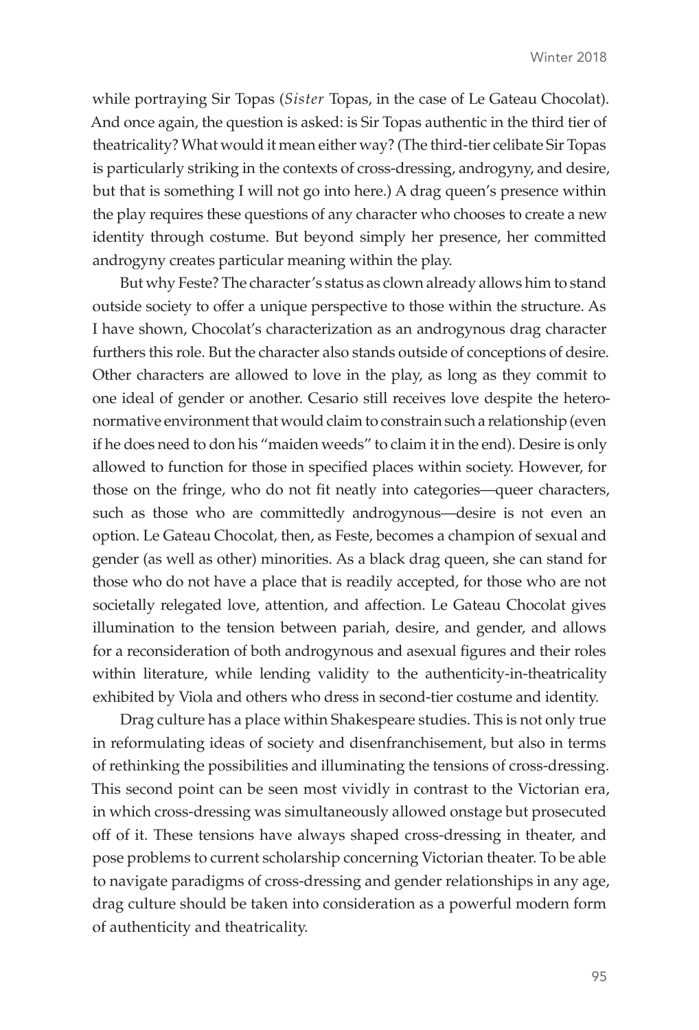while portraying Sir Topas (*Sister* Topas, in the case of Le Gateau Chocolat). And once again, the question is asked: is Sir Topas authentic in the third tier of theatricality? What would it mean either way? (The third-tier celibate Sir Topas is particularly striking in the contexts of cross-dressing, androgyny, and desire, but that is something I will not go into here.) A drag queen's presence within the play requires these questions of any character who chooses to create a new identity through costume. But beyond simply her presence, her committed androgyny creates particular meaning within the play.

But why Feste? The character's status as clown already allows him to stand outside society to offer a unique perspective to those within the structure. As I have shown, Chocolat's characterization as an androgynous drag character furthers this role. But the character also stands outside of conceptions of desire. Other characters are allowed to love in the play, as long as they commit to one ideal of gender or another. Cesario still receives love despite the heteronormative environment that would claim to constrain such a relationship (even if he does need to don his "maiden weeds" to claim it in the end). Desire is only allowed to function for those in specified places within society. However, for those on the fringe, who do not fit neatly into categories—queer characters, such as those who are committedly androgynous—desire is not even an option. Le Gateau Chocolat, then, as Feste, becomes a champion of sexual and gender (as well as other) minorities. As a black drag queen, she can stand for those who do not have a place that is readily accepted, for those who are not societally relegated love, attention, and affection. Le Gateau Chocolat gives illumination to the tension between pariah, desire, and gender, and allows for a reconsideration of both androgynous and asexual figures and their roles within literature, while lending validity to the authenticity-in-theatricality exhibited by Viola and others who dress in second-tier costume and identity.

Drag culture has a place within Shakespeare studies. This is not only true in reformulating ideas of society and disenfranchisement, but also in terms of rethinking the possibilities and illuminating the tensions of cross-dressing. This second point can be seen most vividly in contrast to the Victorian era, in which cross-dressing was simultaneously allowed onstage but prosecuted off of it. These tensions have always shaped cross-dressing in theater, and pose problems to current scholarship concerning Victorian theater. To be able to navigate paradigms of cross-dressing and gender relationships in any age, drag culture should be taken into consideration as a powerful modern form of authenticity and theatricality.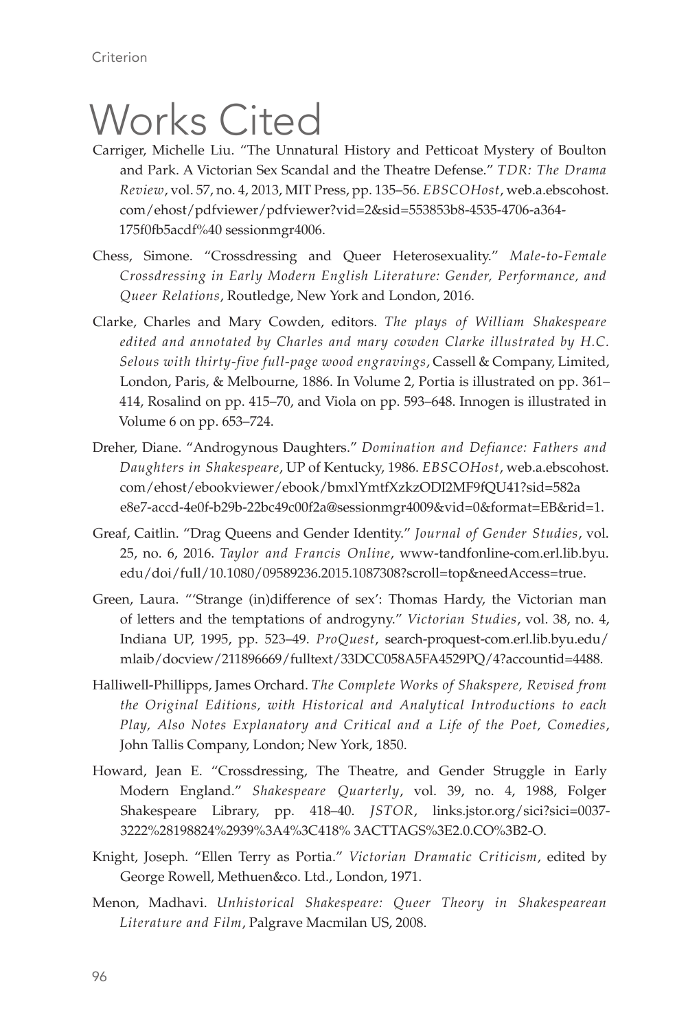## Works Cited

- Carriger, Michelle Liu. "The Unnatural History and Petticoat Mystery of Boulton and Park. A Victorian Sex Scandal and the Theatre Defense." *TDR: The Drama Review*, vol. 57, no. 4, 2013, MIT Press, pp. 135–56. *EBSCOHost*, web.a.ebscohost. com/ehost/pdfviewer/pdfviewer?vid=2&sid=553853b8-4535-4706-a364- 175f0fb5acdf%40 sessionmgr4006.
- Chess, Simone. "Crossdressing and Queer Heterosexuality." *Male-to-Female Crossdressing in Early Modern English Literature: Gender, Performance, and Queer Relations*, Routledge, New York and London, 2016.
- Clarke, Charles and Mary Cowden, editors. *The plays of William Shakespeare edited and annotated by Charles and mary cowden Clarke illustrated by H.C. Selous with thirty-five full-page wood engravings*, Cassell & Company, Limited, London, Paris, & Melbourne, 1886. In Volume 2, Portia is illustrated on pp. 361– 414, Rosalind on pp. 415–70, and Viola on pp. 593–648. Innogen is illustrated in Volume 6 on pp. 653–724.
- Dreher, Diane. "Androgynous Daughters." *Domination and Defiance: Fathers and Daughters in Shakespeare*, UP of Kentucky, 1986. *EBSCOHost*, web.a.ebscohost. com/ehost/ebookviewer/ebook/bmxlYmtfXzkzODI2MF9fQU41?sid=582a e8e7-accd-4e0f-b29b-22bc49c00f2a@sessionmgr4009&vid=0&format=EB&rid=1.
- Greaf, Caitlin. "Drag Queens and Gender Identity." *Journal of Gender Studies*, vol. 25, no. 6, 2016. *Taylor and Francis Online*, www-tandfonline-com.erl.lib.byu. edu/doi/full/10.1080/09589236.2015.1087308?scroll=top&needAccess=true.
- Green, Laura. "'Strange (in)difference of sex': Thomas Hardy, the Victorian man of letters and the temptations of androgyny." *Victorian Studies*, vol. 38, no. 4, Indiana UP, 1995, pp. 523–49. *ProQuest*, search-proquest-com.erl.lib.byu.edu/ mlaib/docview/211896669/fulltext/33DCC058A5FA4529PQ/4?accountid=4488.
- Halliwell-Phillipps, James Orchard. *The Complete Works of Shakspere, Revised from the Original Editions, with Historical and Analytical Introductions to each Play, Also Notes Explanatory and Critical and a Life of the Poet, Comedies*, John Tallis Company, London; New York, 1850.
- Howard, Jean E. "Crossdressing, The Theatre, and Gender Struggle in Early Modern England." *Shakespeare Quarterly*, vol. 39, no. 4, 1988, Folger Shakespeare Library, pp. 418–40. *JSTOR*, links.jstor.org/sici?sici=0037- 3222%28198824%2939%3A4%3C418% 3ACTTAGS%3E2.0.CO%3B2-O.
- Knight, Joseph. "Ellen Terry as Portia." *Victorian Dramatic Criticism*, edited by George Rowell, Methuen&co. Ltd., London, 1971.
- Menon, Madhavi. *Unhistorical Shakespeare: Queer Theory in Shakespearean Literature and Film*, Palgrave Macmilan US, 2008.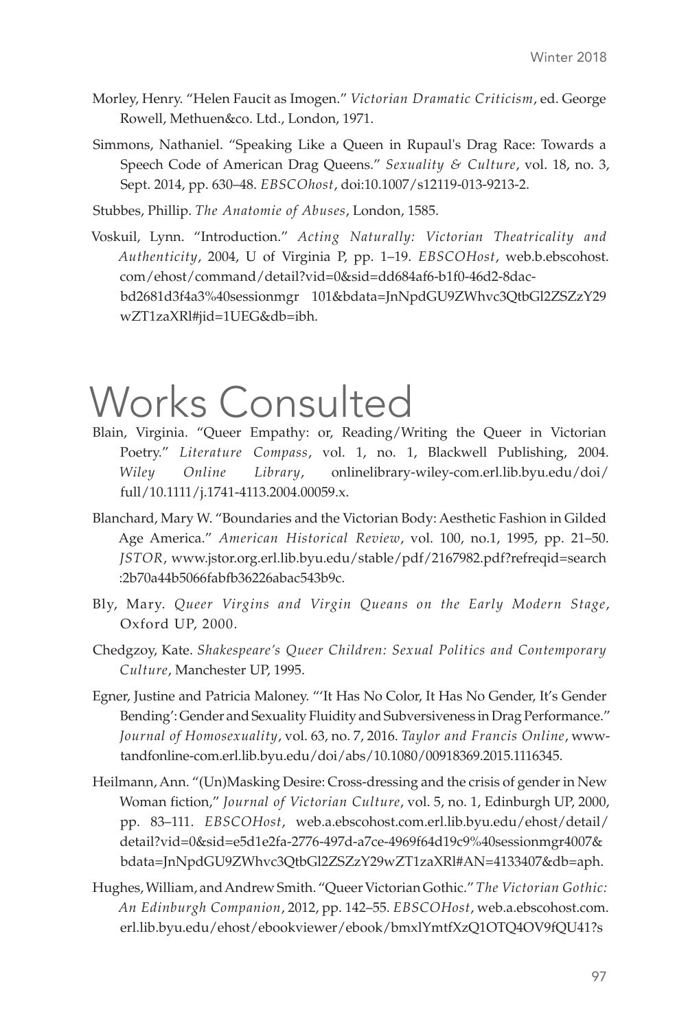- Morley, Henry. "Helen Faucit as Imogen." *Victorian Dramatic Criticism*, ed. George Rowell, Methuen&co. Ltd., London, 1971.
- Simmons, Nathaniel. "Speaking Like a Queen in Rupaul's Drag Race: Towards a Speech Code of American Drag Queens." *Sexuality & Culture*, vol. 18, no. 3, Sept. 2014, pp. 630–48. *EBSCOhost*, doi:10.1007/s12119-013-9213-2.

Stubbes, Phillip. *The Anatomie of Abuses*, London, 1585.

Voskuil, Lynn. "Introduction." *Acting Naturally: Victorian Theatricality and Authenticity*, 2004, U of Virginia P, pp. 1–19. *EBSCOHost*, web.b.ebscohost. com/ehost/command/detail?vid=0&sid=dd684af6-b1f0-46d2-8dacbd2681d3f4a3%40sessionmgr 101&bdata=JnNpdGU9ZWhvc3QtbGl2ZSZzY29 wZT1zaXRl#jid=1UEG&db=ibh.

## Works Consulted

- Blain, Virginia. "Queer Empathy: or, Reading/Writing the Queer in Victorian Poetry." *Literature Compass*, vol. 1, no. 1, Blackwell Publishing, 2004. *Wiley Online Library*, onlinelibrary-wiley-com.erl.lib.byu.edu/doi/ full/10.1111/j.1741-4113.2004.00059.x.
- Blanchard, Mary W. "Boundaries and the Victorian Body: Aesthetic Fashion in Gilded Age America." *American Historical Review*, vol. 100, no.1, 1995, pp. 21–50. *JSTOR*, www.jstor.org.erl.lib.byu.edu/stable/pdf/2167982.pdf?refreqid=search :2b70a44b5066fabfb36226abac543b9c.
- Bly, Mary. *Queer Virgins and Virgin Queans on the Early Modern Stage*, Oxford UP, 2000.
- Chedgzoy, Kate. *Shakespeare's Queer Children: Sexual Politics and Contemporary Culture*, Manchester UP, 1995.
- Egner, Justine and Patricia Maloney. "'It Has No Color, It Has No Gender, It's Gender Bending': Gender and Sexuality Fluidity and Subversiveness in Drag Performance." *Journal of Homosexuality*, vol. 63, no. 7, 2016. *Taylor and Francis Online*, wwwtandfonline-com.erl.lib.byu.edu/doi/abs/10.1080/00918369.2015.1116345.
- Heilmann, Ann. "(Un)Masking Desire: Cross-dressing and the crisis of gender in New Woman fiction," *Journal of Victorian Culture*, vol. 5, no. 1, Edinburgh UP, 2000, pp. 83–111. *EBSCOHost*, web.a.ebscohost.com.erl.lib.byu.edu/ehost/detail/ detail?vid=0&sid=e5d1e2fa-2776-497d-a7ce-4969f64d19c9%40sessionmgr4007& bdata=JnNpdGU9ZWhvc3QtbGl2ZSZzY29wZT1zaXRl#AN=4133407&db=aph.
- Hughes, William, and Andrew Smith. "Queer Victorian Gothic." *The Victorian Gothic: An Edinburgh Companion*, 2012, pp. 142–55. *EBSCOHost*, web.a.ebscohost.com. erl.lib.byu.edu/ehost/ebookviewer/ebook/bmxlYmtfXzQ1OTQ4OV9fQU41?s